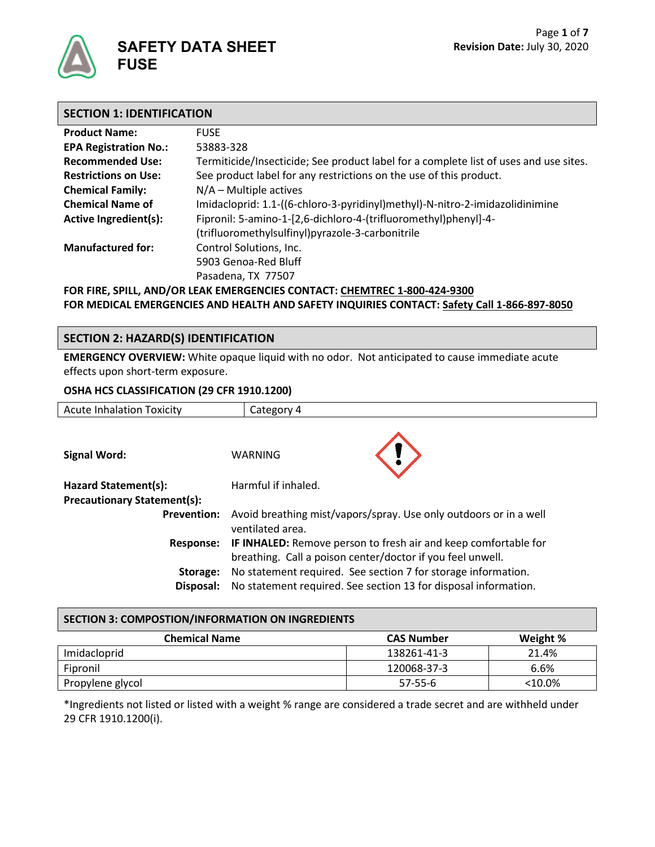

| <b>Product Name:</b>                                                      | <b>FUSE</b>                                                                           |  |
|---------------------------------------------------------------------------|---------------------------------------------------------------------------------------|--|
| <b>EPA Registration No.:</b>                                              | 53883-328                                                                             |  |
| <b>Recommended Use:</b>                                                   | Termiticide/Insecticide; See product label for a complete list of uses and use sites. |  |
| <b>Restrictions on Use:</b>                                               | See product label for any restrictions on the use of this product.                    |  |
| <b>Chemical Family:</b>                                                   | $N/A$ – Multiple actives                                                              |  |
| <b>Chemical Name of</b>                                                   | Imidacloprid: 1.1-((6-chloro-3-pyridinyl)methyl)-N-nitro-2-imidazolidinimine          |  |
| Active Ingredient(s):                                                     | Fipronil: 5-amino-1-[2,6-dichloro-4-(trifluoromethyl)phenyl]-4-                       |  |
|                                                                           | (trifluoromethylsulfinyl)pyrazole-3-carbonitrile                                      |  |
| <b>Manufactured for:</b>                                                  | Control Solutions, Inc.                                                               |  |
|                                                                           | 5903 Genoa-Red Bluff                                                                  |  |
|                                                                           | Pasadena, TX 77507                                                                    |  |
| FOR FIRE, SPILL, AND/OR LEAK EMERGENCIES CONTACT: CHEMTREC 1-800-424-9300 |                                                                                       |  |

**FOR MEDICAL EMERGENCIES AND HEALTH AND SAFETY INQUIRIES CONTACT: Safety Call 1-866-897-8050**

## **SECTION 2: HAZARD(S) IDENTIFICATION**

**EMERGENCY OVERVIEW:** White opaque liquid with no odor. Not anticipated to cause immediate acute effects upon short-term exposure.

#### **OSHA HCS CLASSIFICATION (29 CFR 1910.1200)**

| <b>Acute Inhalation Toxicity</b>   | Category 4                                                                                                                       |  |
|------------------------------------|----------------------------------------------------------------------------------------------------------------------------------|--|
|                                    |                                                                                                                                  |  |
| Signal Word:                       | <b>WARNING</b>                                                                                                                   |  |
| Hazard Statement(s):               | Harmful if inhaled.                                                                                                              |  |
| <b>Precautionary Statement(s):</b> |                                                                                                                                  |  |
| <b>Prevention:</b>                 | Avoid breathing mist/vapors/spray. Use only outdoors or in a well<br>ventilated area.                                            |  |
| Response:                          | IF INHALED: Remove person to fresh air and keep comfortable for<br>breathing. Call a poison center/doctor if you feel unwell.    |  |
| Storage:<br>Disposal:              | No statement required. See section 7 for storage information.<br>No statement required. See section 13 for disposal information. |  |

#### **SECTION 3: COMPOSTION/INFORMATION ON INGREDIENTS**

| <b>Chemical Name</b> | <b>CAS Number</b> | Weight %  |
|----------------------|-------------------|-----------|
| Imidacloprid         | 138261-41-3       | 21.4%     |
| Fipronil             | 120068-37-3       | 6.6%      |
| Propylene glycol     | $57 - 55 - 6$     | $<$ 10.0% |

\*Ingredients not listed or listed with a weight % range are considered a trade secret and are withheld under 29 CFR 1910.1200(i).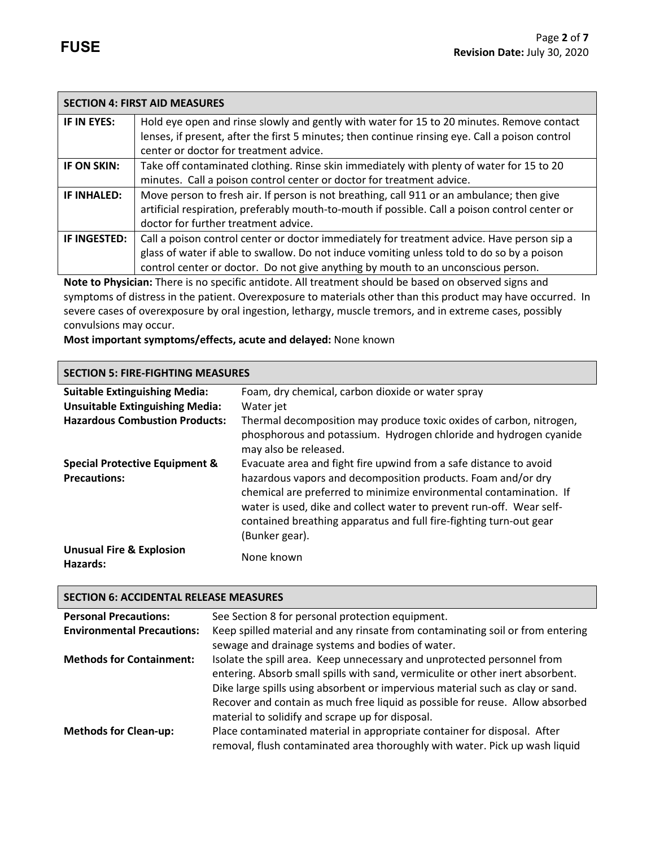|              | <b>SECTION 4: FIRST AID MEASURES</b>                                                                 |
|--------------|------------------------------------------------------------------------------------------------------|
| IF IN EYES:  | Hold eye open and rinse slowly and gently with water for 15 to 20 minutes. Remove contact            |
|              | lenses, if present, after the first 5 minutes; then continue rinsing eye. Call a poison control      |
|              | center or doctor for treatment advice.                                                               |
| IF ON SKIN:  | Take off contaminated clothing. Rinse skin immediately with plenty of water for 15 to 20             |
|              | minutes. Call a poison control center or doctor for treatment advice.                                |
| IF INHALED:  | Move person to fresh air. If person is not breathing, call 911 or an ambulance; then give            |
|              | artificial respiration, preferably mouth-to-mouth if possible. Call a poison control center or       |
|              | doctor for further treatment advice.                                                                 |
| IF INGESTED: | Call a poison control center or doctor immediately for treatment advice. Have person sip a           |
|              | glass of water if able to swallow. Do not induce vomiting unless told to do so by a poison           |
|              | control center or doctor. Do not give anything by mouth to an unconscious person.                    |
|              | Note to Physician: There is no specific antidote All treatment should be based on observed signs and |

**Note to Physician:** There is no specific antidote. All treatment should be based on observed signs and symptoms of distress in the patient. Overexposure to materials other than this product may have occurred. In severe cases of overexposure by oral ingestion, lethargy, muscle tremors, and in extreme cases, possibly convulsions may occur.

**Most important symptoms/effects, acute and delayed:** None known

# **SECTION 5: FIRE-FIGHTING MEASURES**

| <b>Suitable Extinguishing Media:</b><br><b>Unsuitable Extinguishing Media:</b> | Foam, dry chemical, carbon dioxide or water spray<br>Water jet                                                                                                                                                                                                                                                                                                          |
|--------------------------------------------------------------------------------|-------------------------------------------------------------------------------------------------------------------------------------------------------------------------------------------------------------------------------------------------------------------------------------------------------------------------------------------------------------------------|
| <b>Hazardous Combustion Products:</b>                                          | Thermal decomposition may produce toxic oxides of carbon, nitrogen,<br>phosphorous and potassium. Hydrogen chloride and hydrogen cyanide<br>may also be released.                                                                                                                                                                                                       |
| <b>Special Protective Equipment &amp;</b><br><b>Precautions:</b>               | Evacuate area and fight fire upwind from a safe distance to avoid<br>hazardous vapors and decomposition products. Foam and/or dry<br>chemical are preferred to minimize environmental contamination. If<br>water is used, dike and collect water to prevent run-off. Wear self-<br>contained breathing apparatus and full fire-fighting turn-out gear<br>(Bunker gear). |
| <b>Unusual Fire &amp; Explosion</b><br>Hazards:                                | None known                                                                                                                                                                                                                                                                                                                                                              |

#### **SECTION 6: ACCIDENTAL RELEASE MEASURES**

| <b>Personal Precautions:</b>      | See Section 8 for personal protection equipment.                                                                                                                                                                                                                                                                                                                                 |
|-----------------------------------|----------------------------------------------------------------------------------------------------------------------------------------------------------------------------------------------------------------------------------------------------------------------------------------------------------------------------------------------------------------------------------|
| <b>Environmental Precautions:</b> | Keep spilled material and any rinsate from contaminating soil or from entering<br>sewage and drainage systems and bodies of water.                                                                                                                                                                                                                                               |
| <b>Methods for Containment:</b>   | Isolate the spill area. Keep unnecessary and unprotected personnel from<br>entering. Absorb small spills with sand, vermiculite or other inert absorbent.<br>Dike large spills using absorbent or impervious material such as clay or sand.<br>Recover and contain as much free liquid as possible for reuse. Allow absorbed<br>material to solidify and scrape up for disposal. |
| <b>Methods for Clean-up:</b>      | Place contaminated material in appropriate container for disposal. After<br>removal, flush contaminated area thoroughly with water. Pick up wash liquid                                                                                                                                                                                                                          |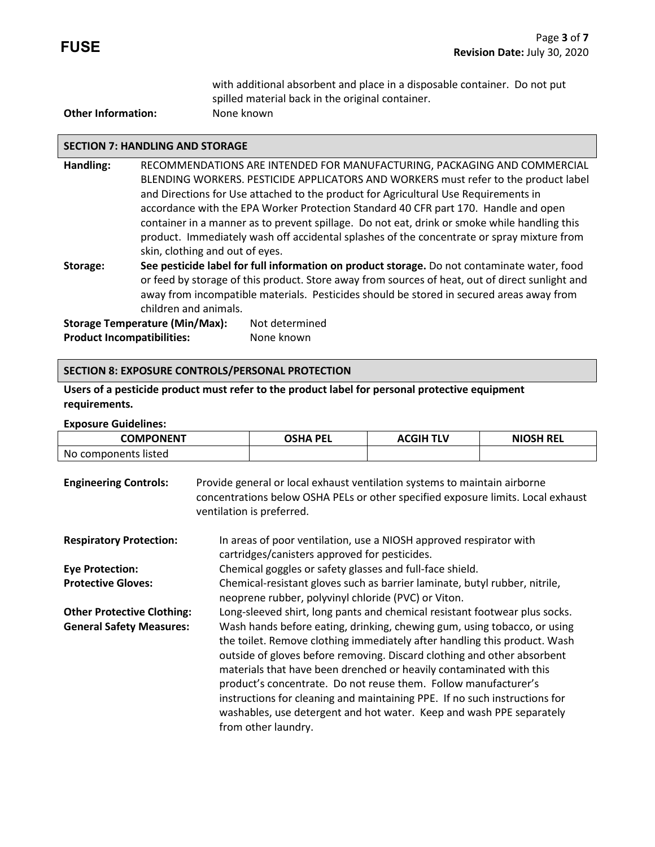with additional absorbent and place in a disposable container. Do not put spilled material back in the original container.

## **Other Information:** None known

#### **SECTION 7: HANDLING AND STORAGE**

- **Handling:** RECOMMENDATIONS ARE INTENDED FOR MANUFACTURING, PACKAGING AND COMMERCIAL BLENDING WORKERS. PESTICIDE APPLICATORS AND WORKERS must refer to the product label and Directions for Use attached to the product for Agricultural Use Requirements in accordance with the EPA Worker Protection Standard 40 CFR part 170.Handle and open container in a manner as to prevent spillage. Do not eat, drink or smoke while handling this product. Immediately wash off accidental splashes of the concentrate or spray mixture from skin, clothing and out of eyes.
- **Storage: See pesticide label for full information on product storage.** Do not contaminate water, food or feed by storage of this product. Store away from sources of heat, out of direct sunlight and away from incompatible materials. Pesticides should be stored in secured areas away from children and animals.

Storage Temperature (Min/Max): Not determined **Product Incompatibilities:** None known

#### **SECTION 8: EXPOSURE CONTROLS/PERSONAL PROTECTION**

**Users of a pesticide product must refer to the product label for personal protective equipment requirements.**

#### **Exposure Guidelines:**

| <b>COMPONENT</b>     | OSHA PEL | <b>ACGIH TLV</b> | <b>NIOSH REL</b> |
|----------------------|----------|------------------|------------------|
| No components listed |          |                  |                  |

| <b>Engineering Controls:</b>      | Provide general or local exhaust ventilation systems to maintain airborne<br>concentrations below OSHA PELs or other specified exposure limits. Local exhaust<br>ventilation is preferred.                                                                                                                                                                                                                                                                                                                                                              |
|-----------------------------------|---------------------------------------------------------------------------------------------------------------------------------------------------------------------------------------------------------------------------------------------------------------------------------------------------------------------------------------------------------------------------------------------------------------------------------------------------------------------------------------------------------------------------------------------------------|
| <b>Respiratory Protection:</b>    | In areas of poor ventilation, use a NIOSH approved respirator with<br>cartridges/canisters approved for pesticides.                                                                                                                                                                                                                                                                                                                                                                                                                                     |
| <b>Eye Protection:</b>            | Chemical goggles or safety glasses and full-face shield.                                                                                                                                                                                                                                                                                                                                                                                                                                                                                                |
| <b>Protective Gloves:</b>         | Chemical-resistant gloves such as barrier laminate, butyl rubber, nitrile,<br>neoprene rubber, polyvinyl chloride (PVC) or Viton.                                                                                                                                                                                                                                                                                                                                                                                                                       |
| <b>Other Protective Clothing:</b> | Long-sleeved shirt, long pants and chemical resistant footwear plus socks.                                                                                                                                                                                                                                                                                                                                                                                                                                                                              |
| <b>General Safety Measures:</b>   | Wash hands before eating, drinking, chewing gum, using tobacco, or using<br>the toilet. Remove clothing immediately after handling this product. Wash<br>outside of gloves before removing. Discard clothing and other absorbent<br>materials that have been drenched or heavily contaminated with this<br>product's concentrate. Do not reuse them. Follow manufacturer's<br>instructions for cleaning and maintaining PPE. If no such instructions for<br>washables, use detergent and hot water. Keep and wash PPE separately<br>from other laundry. |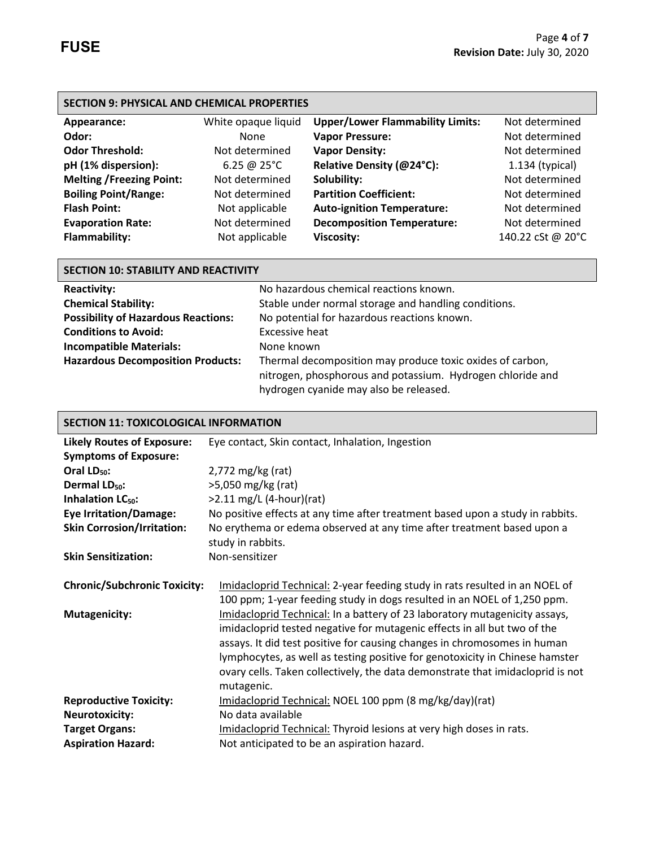| <b>SECTION 9: PHYSICAL AND CHEMICAL PROPERTIES</b> |                       |                                         |                   |
|----------------------------------------------------|-----------------------|-----------------------------------------|-------------------|
| Appearance:                                        | White opaque liquid   | <b>Upper/Lower Flammability Limits:</b> | Not determined    |
| Odor:                                              | None                  | <b>Vapor Pressure:</b>                  | Not determined    |
| <b>Odor Threshold:</b>                             | Not determined        | <b>Vapor Density:</b>                   | Not determined    |
| pH (1% dispersion):                                | 6.25 @ $25^{\circ}$ C | Relative Density (@24°C):               | $1.134$ (typical) |
| <b>Melting /Freezing Point:</b>                    | Not determined        | Solubility:                             | Not determined    |
| <b>Boiling Point/Range:</b>                        | Not determined        | <b>Partition Coefficient:</b>           | Not determined    |
| <b>Flash Point:</b>                                | Not applicable        | <b>Auto-ignition Temperature:</b>       | Not determined    |
| <b>Evaporation Rate:</b>                           | Not determined        | <b>Decomposition Temperature:</b>       | Not determined    |
| <b>Flammability:</b>                               | Not applicable        | <b>Viscosity:</b>                       | 140.22 cSt @ 20°C |

| <b>SECTION 10: STABILITY AND REACTIVITY</b> |                                                            |  |
|---------------------------------------------|------------------------------------------------------------|--|
| <b>Reactivity:</b>                          | No hazardous chemical reactions known.                     |  |
| <b>Chemical Stability:</b>                  | Stable under normal storage and handling conditions.       |  |
| <b>Possibility of Hazardous Reactions:</b>  | No potential for hazardous reactions known.                |  |
| <b>Conditions to Avoid:</b>                 | <b>Excessive heat</b>                                      |  |
| <b>Incompatible Materials:</b>              | None known                                                 |  |
| <b>Hazardous Decomposition Products:</b>    | Thermal decomposition may produce toxic oxides of carbon,  |  |
|                                             | nitrogen, phosphorous and potassium. Hydrogen chloride and |  |
|                                             | hydrogen cyanide may also be released.                     |  |

| <b>SECTION 11: TOXICOLOGICAL INFORMATION</b>                |                                                                                                                                                                                                                                                                                                                                                                                                                                                                                                                                                                |  |
|-------------------------------------------------------------|----------------------------------------------------------------------------------------------------------------------------------------------------------------------------------------------------------------------------------------------------------------------------------------------------------------------------------------------------------------------------------------------------------------------------------------------------------------------------------------------------------------------------------------------------------------|--|
| <b>Likely Routes of Exposure:</b>                           | Eye contact, Skin contact, Inhalation, Ingestion                                                                                                                                                                                                                                                                                                                                                                                                                                                                                                               |  |
| <b>Symptoms of Exposure:</b>                                |                                                                                                                                                                                                                                                                                                                                                                                                                                                                                                                                                                |  |
| Oral LD <sub>50</sub> :                                     | $2,772$ mg/kg (rat)                                                                                                                                                                                                                                                                                                                                                                                                                                                                                                                                            |  |
| Dermal LD <sub>50</sub> :                                   | >5,050 mg/kg (rat)                                                                                                                                                                                                                                                                                                                                                                                                                                                                                                                                             |  |
| Inhalation LC <sub>50</sub> :                               | $>2.11$ mg/L (4-hour)(rat)                                                                                                                                                                                                                                                                                                                                                                                                                                                                                                                                     |  |
| <b>Eye Irritation/Damage:</b>                               | No positive effects at any time after treatment based upon a study in rabbits.                                                                                                                                                                                                                                                                                                                                                                                                                                                                                 |  |
| <b>Skin Corrosion/Irritation:</b>                           | No erythema or edema observed at any time after treatment based upon a                                                                                                                                                                                                                                                                                                                                                                                                                                                                                         |  |
|                                                             | study in rabbits.                                                                                                                                                                                                                                                                                                                                                                                                                                                                                                                                              |  |
| <b>Skin Sensitization:</b>                                  | Non-sensitizer                                                                                                                                                                                                                                                                                                                                                                                                                                                                                                                                                 |  |
| <b>Chronic/Subchronic Toxicity:</b><br><b>Mutagenicity:</b> | Imidacloprid Technical: 2-year feeding study in rats resulted in an NOEL of<br>100 ppm; 1-year feeding study in dogs resulted in an NOEL of 1,250 ppm.<br>Imidacloprid Technical: In a battery of 23 laboratory mutagenicity assays,<br>imidacloprid tested negative for mutagenic effects in all but two of the<br>assays. It did test positive for causing changes in chromosomes in human<br>lymphocytes, as well as testing positive for genotoxicity in Chinese hamster<br>ovary cells. Taken collectively, the data demonstrate that imidacloprid is not |  |
|                                                             | mutagenic.                                                                                                                                                                                                                                                                                                                                                                                                                                                                                                                                                     |  |
| <b>Reproductive Toxicity:</b>                               | Imidacloprid Technical: NOEL 100 ppm (8 mg/kg/day)(rat)                                                                                                                                                                                                                                                                                                                                                                                                                                                                                                        |  |
| <b>Neurotoxicity:</b>                                       | No data available                                                                                                                                                                                                                                                                                                                                                                                                                                                                                                                                              |  |
| <b>Target Organs:</b>                                       | Imidacloprid Technical: Thyroid lesions at very high doses in rats.                                                                                                                                                                                                                                                                                                                                                                                                                                                                                            |  |
| <b>Aspiration Hazard:</b>                                   | Not anticipated to be an aspiration hazard.                                                                                                                                                                                                                                                                                                                                                                                                                                                                                                                    |  |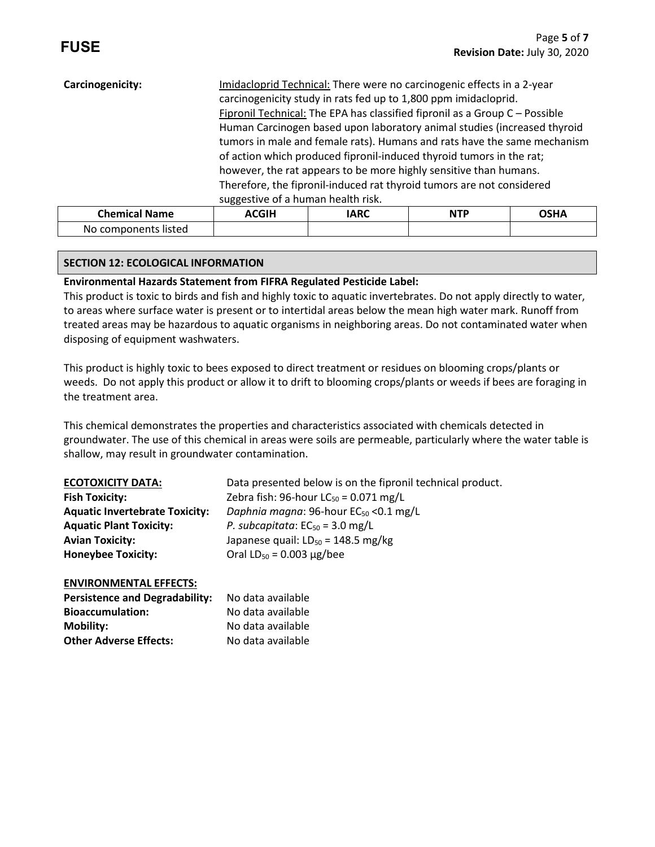| Carcinogenicity:     | Imidacloprid Technical: There were no carcinogenic effects in a 2-year<br>carcinogenicity study in rats fed up to 1,800 ppm imidacloprid.<br>Fipronil Technical: The EPA has classified fipronil as a Group C - Possible<br>Human Carcinogen based upon laboratory animal studies (increased thyroid                                 |             |            |             |
|----------------------|--------------------------------------------------------------------------------------------------------------------------------------------------------------------------------------------------------------------------------------------------------------------------------------------------------------------------------------|-------------|------------|-------------|
|                      | tumors in male and female rats). Humans and rats have the same mechanism<br>of action which produced fipronil-induced thyroid tumors in the rat;<br>however, the rat appears to be more highly sensitive than humans.<br>Therefore, the fipronil-induced rat thyroid tumors are not considered<br>suggestive of a human health risk. |             |            |             |
| <b>Chemical Name</b> | <b>ACGIH</b>                                                                                                                                                                                                                                                                                                                         | <b>IARC</b> | <b>NTP</b> | <b>OSHA</b> |

# **SECTION 12: ECOLOGICAL INFORMATION**

No components listed

# **Environmental Hazards Statement from FIFRA Regulated Pesticide Label:**

This product is toxic to birds and fish and highly toxic to aquatic invertebrates. Do not apply directly to water, to areas where surface water is present or to intertidal areas below the mean high water mark. Runoff from treated areas may be hazardous to aquatic organisms in neighboring areas. Do not contaminated water when disposing of equipment washwaters.

This product is highly toxic to bees exposed to direct treatment or residues on blooming crops/plants or weeds. Do not apply this product or allow it to drift to blooming crops/plants or weeds if bees are foraging in the treatment area.

This chemical demonstrates the properties and characteristics associated with chemicals detected in groundwater. The use of this chemical in areas were soils are permeable, particularly where the water table is shallow, may result in groundwater contamination.

| <b>ECOTOXICITY DATA:</b>              | Data presented below is on the fipronil technical product. |
|---------------------------------------|------------------------------------------------------------|
| <b>Fish Toxicity:</b>                 | Zebra fish: 96-hour $LC_{50} = 0.071$ mg/L                 |
| <b>Aquatic Invertebrate Toxicity:</b> | Daphnia magna: 96-hour EC <sub>50</sub> < 0.1 mg/L         |
| <b>Aquatic Plant Toxicity:</b>        | P. subcapitata: $EC_{50} = 3.0$ mg/L                       |
| <b>Avian Toxicity:</b>                | Japanese quail: $LD_{50} = 148.5$ mg/kg                    |
| <b>Honeybee Toxicity:</b>             | Oral $LD_{50} = 0.003 \mu g / bee$                         |

## **ENVIRONMENTAL EFFECTS:**

| <b>Persistence and Degradability:</b> | No data available |
|---------------------------------------|-------------------|
| <b>Bioaccumulation:</b>               | No data available |
| Mobility:                             | No data available |
| <b>Other Adverse Effects:</b>         | No data available |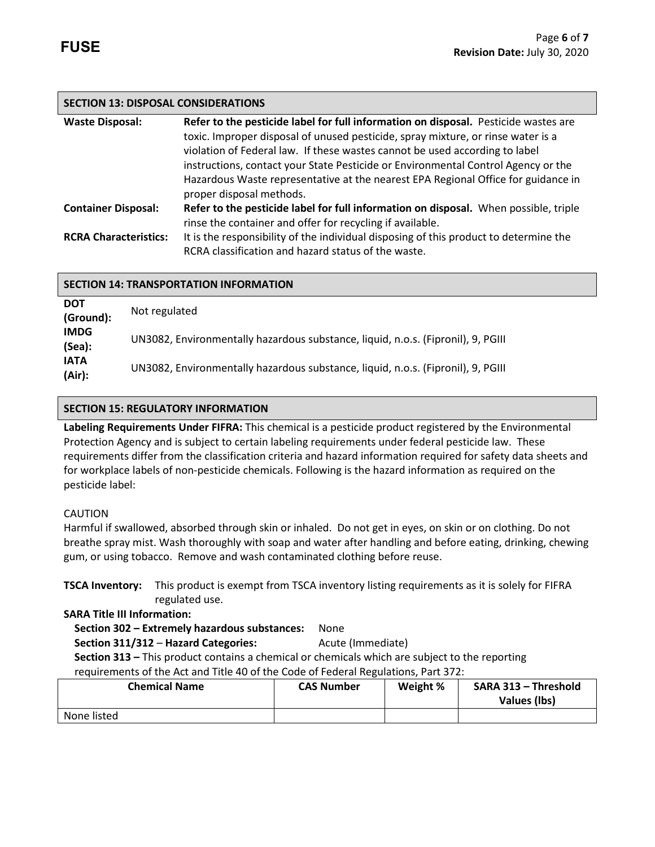# **SECTION 13: DISPOSAL CONSIDERATIONS**

| <b>Waste Disposal:</b>       | Refer to the pesticide label for full information on disposal. Pesticide wastes are   |  |
|------------------------------|---------------------------------------------------------------------------------------|--|
|                              | toxic. Improper disposal of unused pesticide, spray mixture, or rinse water is a      |  |
|                              | violation of Federal law. If these wastes cannot be used according to label           |  |
|                              | instructions, contact your State Pesticide or Environmental Control Agency or the     |  |
|                              | Hazardous Waste representative at the nearest EPA Regional Office for guidance in     |  |
|                              | proper disposal methods.                                                              |  |
| <b>Container Disposal:</b>   | Refer to the pesticide label for full information on disposal. When possible, triple  |  |
|                              | rinse the container and offer for recycling if available.                             |  |
| <b>RCRA Characteristics:</b> | It is the responsibility of the individual disposing of this product to determine the |  |
|                              | RCRA classification and hazard status of the waste.                                   |  |

| <b>SECTION 14: TRANSPORTATION INFORMATION</b> |                                                                                  |  |
|-----------------------------------------------|----------------------------------------------------------------------------------|--|
| <b>DOT</b><br>(Ground):                       | Not regulated                                                                    |  |
| <b>IMDG</b><br>(Sea):                         | UN3082, Environmentally hazardous substance, liquid, n.o.s. (Fipronil), 9, PGIII |  |
| <b>IATA</b><br>(Air):                         | UN3082, Environmentally hazardous substance, liquid, n.o.s. (Fipronil), 9, PGIII |  |

# **SECTION 15: REGULATORY INFORMATION**

**Labeling Requirements Under FIFRA:** This chemical is a pesticide product registered by the Environmental Protection Agency and is subject to certain labeling requirements under federal pesticide law. These requirements differ from the classification criteria and hazard information required for safety data sheets and for workplace labels of non-pesticide chemicals. Following is the hazard information as required on the pesticide label:

## CAUTION

Harmful if swallowed, absorbed through skin or inhaled. Do not get in eyes, on skin or on clothing. Do not breathe spray mist. Wash thoroughly with soap and water after handling and before eating, drinking, chewing gum, or using tobacco. Remove and wash contaminated clothing before reuse.

**TSCA Inventory:** This product is exempt from TSCA inventory listing requirements as it is solely for FIFRA regulated use.

## **SARA Title III Information:**

# **Section 302 – Extremely hazardous substances:** None

**Section 311/312 – Hazard Categories:** Acute (Immediate)  **Section 313 –** This product contains a chemical or chemicals which are subject to the reporting requirements of the Act and Title 40 of the Code of Federal Regulations, Part 372:

| <b>Chemical Name</b> | <b>CAS Number</b> | Weight % | SARA 313 - Threshold<br>Values (lbs) |
|----------------------|-------------------|----------|--------------------------------------|
| None listed          |                   |          |                                      |